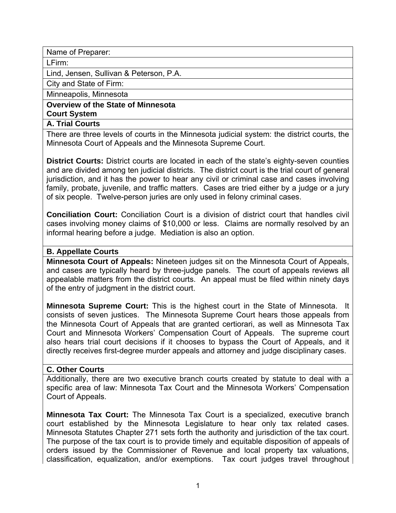Name of Preparer:

LFirm:

Lind, Jensen, Sullivan & Peterson, P.A.

City and State of Firm:

Minneapolis, Minnesota

**Overview of the State of Minnesota Court System** 

#### **A. Trial Courts**

There are three levels of courts in the Minnesota judicial system: the district courts, the Minnesota Court of Appeals and the Minnesota Supreme Court.

**District Courts:** District courts are located in each of the state's eighty-seven counties and are divided among ten judicial districts. The district court is the trial court of general jurisdiction, and it has the power to hear any civil or criminal case and cases involving family, probate, juvenile, and traffic matters. Cases are tried either by a judge or a jury of six people. Twelve-person juries are only used in felony criminal cases.

**Conciliation Court:** Conciliation Court is a division of district court that handles civil cases involving money claims of \$10,000 or less. Claims are normally resolved by an informal hearing before a judge. Mediation is also an option.

#### **B. Appellate Courts**

**Minnesota Court of Appeals:** Nineteen judges sit on the Minnesota Court of Appeals, and cases are typically heard by three-judge panels. The court of appeals reviews all appealable matters from the district courts. An appeal must be filed within ninety days of the entry of judgment in the district court.

**Minnesota Supreme Court:** This is the highest court in the State of Minnesota. It consists of seven justices. The Minnesota Supreme Court hears those appeals from the Minnesota Court of Appeals that are granted certiorari, as well as Minnesota Tax Court and Minnesota Workers' Compensation Court of Appeals. The supreme court also hears trial court decisions if it chooses to bypass the Court of Appeals, and it directly receives first-degree murder appeals and attorney and judge disciplinary cases.

#### **C. Other Courts**

Additionally, there are two executive branch courts created by statute to deal with a specific area of law: Minnesota Tax Court and the Minnesota Workers' Compensation Court of Appeals.

**Minnesota Tax Court:** The Minnesota Tax Court is a specialized, executive branch court established by the Minnesota Legislature to hear only tax related cases. Minnesota Statutes Chapter 271 sets forth the authority and jurisdiction of the tax court. The purpose of the tax court is to provide timely and equitable disposition of appeals of orders issued by the Commissioner of Revenue and local property tax valuations, classification, equalization, and/or exemptions. Tax court judges travel throughout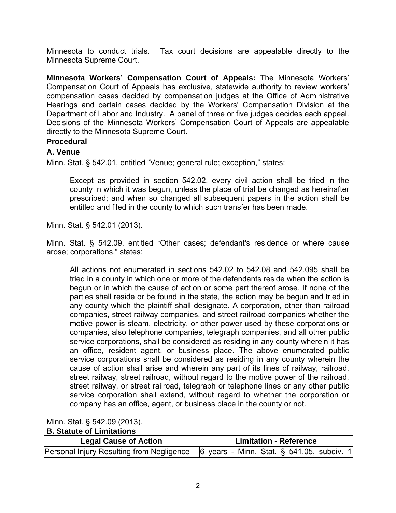Minnesota to conduct trials. Tax court decisions are appealable directly to the Minnesota Supreme Court.

**Minnesota Workers' Compensation Court of Appeals:** The Minnesota Workers' Compensation Court of Appeals has exclusive, statewide authority to review workers' compensation cases decided by compensation judges at the Office of Administrative Hearings and certain cases decided by the Workers' Compensation Division at the Department of Labor and Industry. A panel of three or five judges decides each appeal. Decisions of the Minnesota Workers' Compensation Court of Appeals are appealable directly to the Minnesota Supreme Court.

#### **Procedural**

#### **A. Venue**

Minn. Stat. § 542.01, entitled "Venue; general rule; exception," states:

 Except as provided in section 542.02, every civil action shall be tried in the county in which it was begun, unless the place of trial be changed as hereinafter prescribed; and when so changed all subsequent papers in the action shall be entitled and filed in the county to which such transfer has been made.

Minn. Stat. § 542.01 (2013).

Minn. Stat. § 542.09, entitled "Other cases; defendant's residence or where cause arose; corporations," states:

 All actions not enumerated in sections 542.02 to 542.08 and 542.095 shall be tried in a county in which one or more of the defendants reside when the action is begun or in which the cause of action or some part thereof arose. If none of the parties shall reside or be found in the state, the action may be begun and tried in any county which the plaintiff shall designate. A corporation, other than railroad companies, street railway companies, and street railroad companies whether the motive power is steam, electricity, or other power used by these corporations or companies, also telephone companies, telegraph companies, and all other public service corporations, shall be considered as residing in any county wherein it has an office, resident agent, or business place. The above enumerated public service corporations shall be considered as residing in any county wherein the cause of action shall arise and wherein any part of its lines of railway, railroad, street railway, street railroad, without regard to the motive power of the railroad, street railway, or street railroad, telegraph or telephone lines or any other public service corporation shall extend, without regard to whether the corporation or company has an office, agent, or business place in the county or not.

Minn. Stat. § 542.09 (2013).

| <b>B. Statute of Limitations</b>          |                                                                |
|-------------------------------------------|----------------------------------------------------------------|
| <b>Legal Cause of Action</b>              | <b>Limitation - Reference</b>                                  |
| Personal Injury Resulting from Negligence | $\left 6\right\rangle$ years - Minn. Stat. § 541.05, subdiv. 1 |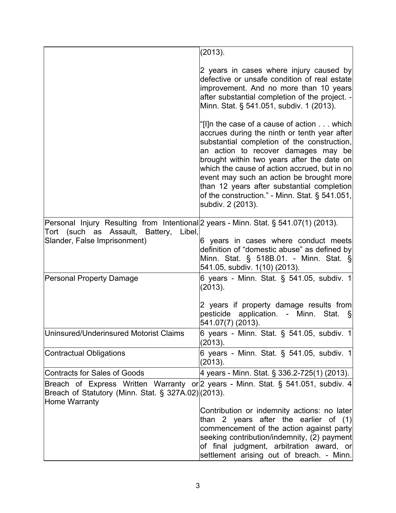|                                                                                                                                                                   | (2013).                                                                                                                                                                                                                                                                                                                                                                                                                                        |
|-------------------------------------------------------------------------------------------------------------------------------------------------------------------|------------------------------------------------------------------------------------------------------------------------------------------------------------------------------------------------------------------------------------------------------------------------------------------------------------------------------------------------------------------------------------------------------------------------------------------------|
|                                                                                                                                                                   | 2 years in cases where injury caused by<br>defective or unsafe condition of real estate<br>improvement. And no more than 10 years<br>after substantial completion of the project. -<br>Minn. Stat. § 541.051, subdiv. 1 (2013).                                                                                                                                                                                                                |
|                                                                                                                                                                   | "[I]n the case of a cause of action which<br>accrues during the ninth or tenth year after<br>substantial completion of the construction,<br>an action to recover damages may be<br>brought within two years after the date on<br>which the cause of action accrued, but in no<br>event may such an action be brought more<br>than 12 years after substantial completion<br>of the construction." - Minn. Stat. § 541.051,<br>subdiv. 2 (2013). |
| Personal Injury Resulting from Intentional 2 years - Minn. Stat. § 541.07(1) (2013).<br>Tort (such as Assault, Battery,<br>Libel,<br>Slander, False Imprisonment) | 6 years in cases where conduct meets<br>definition of "domestic abuse" as defined by<br>Minn. Stat. $\S$ 518B.01. - Minn. Stat. $\S$<br>541.05, subdiv. 1(10) (2013).                                                                                                                                                                                                                                                                          |
| <b>Personal Property Damage</b>                                                                                                                                   | 6 years - Minn. Stat. § 541.05, subdiv. 1<br>(2013).                                                                                                                                                                                                                                                                                                                                                                                           |
|                                                                                                                                                                   | 2 years if property damage results from<br>pesticide application. - Minn.<br>Stat. §<br>541.07(7) (2013).                                                                                                                                                                                                                                                                                                                                      |
| Uninsured/Underinsured Motorist Claims                                                                                                                            | 6 years - Minn. Stat. $\S$ 541.05, subdiv. 1<br>(2013).                                                                                                                                                                                                                                                                                                                                                                                        |
| <b>Contractual Obligations</b>                                                                                                                                    | 6 years - Minn. Stat. § 541.05, subdiv. 1<br>(2013).                                                                                                                                                                                                                                                                                                                                                                                           |
| Contracts for Sales of Goods                                                                                                                                      | 4 years - Minn. Stat. § 336.2-725(1) (2013).                                                                                                                                                                                                                                                                                                                                                                                                   |
| Breach of Statutory (Minn. Stat. § 327A.02) (2013).<br>Home Warranty                                                                                              | Breach of Express Written Warranty or 2 years - Minn. Stat. § 541.051, subdiv. 4                                                                                                                                                                                                                                                                                                                                                               |
|                                                                                                                                                                   | Contribution or indemnity actions: no later<br>than 2 years after the earlier of $(1)$<br>commencement of the action against party<br>seeking contribution/indemnity, (2) payment<br>of final judgment, arbitration award, or<br>settlement arising out of breach. - Minn.                                                                                                                                                                     |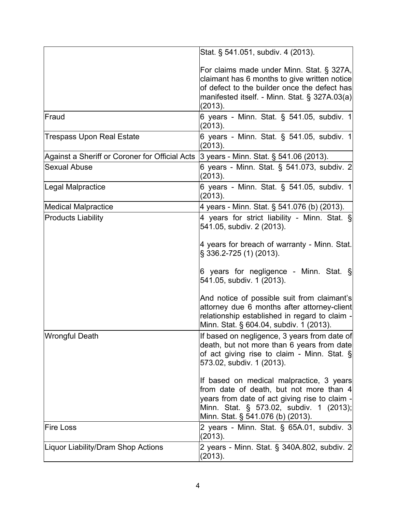|                                                | Stat. § 541.051, subdiv. 4 (2013).                                                                                                                                                                                   |
|------------------------------------------------|----------------------------------------------------------------------------------------------------------------------------------------------------------------------------------------------------------------------|
|                                                | For claims made under Minn. Stat. § 327A,<br>claimant has 6 months to give written notice<br>of defect to the builder once the defect has<br>manifested itself. - Minn. Stat. § 327A.03(a)<br>(2013).                |
| Fraud                                          | 6 years - Minn. Stat. $\S$ 541.05, subdiv. 1<br>(2013).                                                                                                                                                              |
| <b>Trespass Upon Real Estate</b>               | 6 years - Minn. Stat. § 541.05, subdiv. 1<br>(2013).                                                                                                                                                                 |
| Against a Sheriff or Coroner for Official Acts | 3 years - Minn. Stat. § 541.06 (2013).                                                                                                                                                                               |
| <b>Sexual Abuse</b>                            | 6 years - Minn. Stat. § 541.073, subdiv. 2<br>(2013).                                                                                                                                                                |
| Legal Malpractice                              | 6 years - Minn. Stat. § 541.05, subdiv. 1<br>(2013).                                                                                                                                                                 |
| <b>Medical Malpractice</b>                     | 4 years - Minn. Stat. § 541.076 (b) (2013).                                                                                                                                                                          |
| <b>Products Liability</b>                      | 4 years for strict liability - Minn. Stat. §<br>541.05, subdiv. 2 (2013).<br>4 years for breach of warranty - Minn. Stat.<br>§ 336.2-725 (1) (2013).                                                                 |
|                                                | 6 years for negligence - Minn. Stat. $\S$<br>541.05, subdiv. 1 (2013).<br>And notice of possible suit from claimant's<br>attorney due 6 months after attorney-client                                                 |
|                                                | relationship established in regard to claim -<br>Minn. Stat. § 604.04, subdiv. 1 (2013).                                                                                                                             |
| <b>Wrongful Death</b>                          | If based on negligence, 3 years from date of<br>death, but not more than 6 years from date<br>of act giving rise to claim - Minn. Stat. §<br>573.02, subdiv. 1 (2013).                                               |
|                                                | If based on medical malpractice, 3 years<br>from date of death, but not more than 4<br>years from date of act giving rise to claim -<br>Minn. Stat. § 573.02, subdiv. 1 (2013);<br>Minn. Stat. § 541.076 (b) (2013). |
| <b>Fire Loss</b>                               | 2 years - Minn. Stat. § 65A.01, subdiv. 3<br>(2013).                                                                                                                                                                 |
| Liquor Liability/Dram Shop Actions             | 2 years - Minn. Stat. § 340A.802, subdiv. 2<br>(2013).                                                                                                                                                               |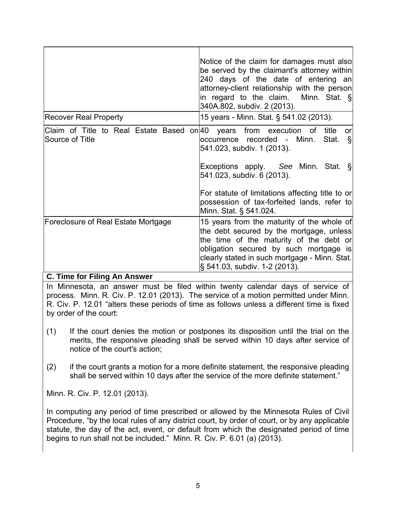|                                                                                      | Notice of the claim for damages must also<br>be served by the claimant's attorney within<br>240 days of the date of entering an<br>attorney-client relationship with the person<br>in regard to the claim. Minn. Stat. §<br>340A.802, subdiv. 2 (2013).       |
|--------------------------------------------------------------------------------------|---------------------------------------------------------------------------------------------------------------------------------------------------------------------------------------------------------------------------------------------------------------|
| <b>Recover Real Property</b>                                                         | 15 years - Minn. Stat. § 541.02 (2013).                                                                                                                                                                                                                       |
| Claim of Title to Real Estate Based on 40 years from execution of<br>Source of Title | title<br><b>or</b><br>occurrence recorded - Minn.<br>$\S$<br>Stat.<br>541.023, subdiv. 1 (2013).                                                                                                                                                              |
|                                                                                      | Exceptions apply. See Minn. Stat. §<br>541.023, subdiv. 6 (2013).                                                                                                                                                                                             |
|                                                                                      | For statute of limitations affecting title to or<br>possession of tax-forfeited lands, refer to<br>Minn. Stat. § 541.024.                                                                                                                                     |
| Foreclosure of Real Estate Mortgage<br>----                                          | 15 years from the maturity of the whole of<br>the debt secured by the mortgage, unless<br>the time of the maturity of the debt or<br>obligation secured by such mortgage is<br>clearly stated in such mortgage - Minn. Stat.<br>§ 541.03, subdiv. 1-2 (2013). |

#### **C. Time for Filing An Answer**

In Minnesota, an answer must be filed within twenty calendar days of service of process. Minn. R. Civ. P. 12.01 (2013). The service of a motion permitted under Minn. R. Civ. P. 12.01 "alters these periods of time as follows unless a different time is fixed by order of the court:

- (1) If the court denies the motion or postpones its disposition until the trial on the merits, the responsive pleading shall be served within 10 days after service of notice of the court's action;
- (2) if the court grants a motion for a more definite statement, the responsive pleading shall be served within 10 days after the service of the more definite statement."

Minn. R. Civ. P. 12.01 (2013).

In computing any period of time prescribed or allowed by the Minnesota Rules of Civil Procedure, "by the local rules of any district court, by order of court, or by any applicable statute, the day of the act, event, or default from which the designated period of time begins to run shall not be included." Minn. R. Civ. P. 6.01 (a) (2013).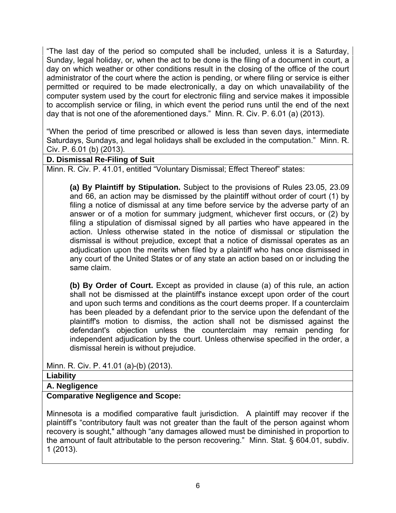"The last day of the period so computed shall be included, unless it is a Saturday, Sunday, legal holiday, or, when the act to be done is the filing of a document in court, a day on which weather or other conditions result in the closing of the office of the court administrator of the court where the action is pending, or where filing or service is either permitted or required to be made electronically, a day on which unavailability of the computer system used by the court for electronic filing and service makes it impossible to accomplish service or filing, in which event the period runs until the end of the next day that is not one of the aforementioned days." Minn. R. Civ. P. 6.01 (a) (2013).

"When the period of time prescribed or allowed is less than seven days, intermediate Saturdays, Sundays, and legal holidays shall be excluded in the computation." Minn. R. Civ. P. 6.01 (b) (2013).

# **D. Dismissal Re-Filing of Suit**

Minn. R. Civ. P. 41.01, entitled "Voluntary Dismissal; Effect Thereof" states:

 **(a) By Plaintiff by Stipulation.** Subject to the provisions of Rules 23.05, 23.09 and 66, an action may be dismissed by the plaintiff without order of court (1) by filing a notice of dismissal at any time before service by the adverse party of an answer or of a motion for summary judgment, whichever first occurs, or (2) by filing a stipulation of dismissal signed by all parties who have appeared in the action. Unless otherwise stated in the notice of dismissal or stipulation the dismissal is without prejudice, except that a notice of dismissal operates as an adjudication upon the merits when filed by a plaintiff who has once dismissed in any court of the United States or of any state an action based on or including the same claim.

 **(b) By Order of Court.** Except as provided in clause (a) of this rule, an action shall not be dismissed at the plaintiff's instance except upon order of the court and upon such terms and conditions as the court deems proper. If a counterclaim has been pleaded by a defendant prior to the service upon the defendant of the plaintiff's motion to dismiss, the action shall not be dismissed against the defendant's objection unless the counterclaim may remain pending for independent adjudication by the court. Unless otherwise specified in the order, a dismissal herein is without prejudice.

Minn. R. Civ. P. 41.01 (a)-(b) (2013).

#### **Liability**

**A. Negligence** 

#### **Comparative Negligence and Scope:**

Minnesota is a modified comparative fault jurisdiction. A plaintiff may recover if the plaintiff's "contributory fault was not greater than the fault of the person against whom recovery is sought," although "any damages allowed must be diminished in proportion to the amount of fault attributable to the person recovering." Minn. Stat. § 604.01, subdiv. 1 (2013).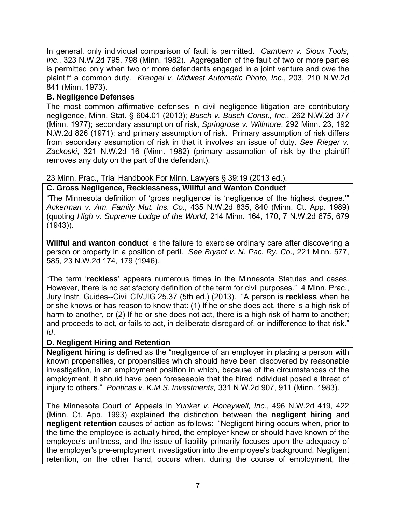In general, only individual comparison of fault is permitted. *Cambern v. Sioux Tools, Inc*., 323 N.W.2d 795, 798 (Minn. 1982). Aggregation of the fault of two or more parties is permitted only when two or more defendants engaged in a joint venture and owe the plaintiff a common duty. *Krengel v. Midwest Automatic Photo, Inc*., 203, 210 N.W.2d 841 (Minn. 1973).

## **B. Negligence Defenses**

The most common affirmative defenses in civil negligence litigation are contributory negligence, Minn. Stat. § 604.01 (2013); *Busch v. Busch Const., Inc*., 262 N.W.2d 377 (Minn. 1977); secondary assumption of risk, *Springrose v. Willmore*, 292 Minn. 23, 192 N.W.2d 826 (1971); and primary assumption of risk. Primary assumption of risk differs from secondary assumption of risk in that it involves an issue of duty. *See Rieger v. Zackoski*, 321 N.W.2d 16 (Minn. 1982) (primary assumption of risk by the plaintiff removes any duty on the part of the defendant).

23 Minn. Prac., Trial Handbook For Minn. Lawyers § 39:19 (2013 ed.).

# **C. Gross Negligence, Recklessness, Willful and Wanton Conduct**

"The Minnesota definition of 'gross negligence' is 'negligence of the highest degree.'" *Ackerman v. Am. Family Mut. Ins. Co.*, 435 N.W.2d 835, 840 (Minn. Ct. App. 1989) (quoting *High v. Supreme Lodge of the World,* 214 Minn. 164, 170, 7 N.W.2d 675, 679 (1943)).

**Willful and wanton conduct** is the failure to exercise ordinary care after discovering a person or property in a position of peril. *See Bryant v. N. Pac. Ry. Co.,* 221 Minn. 577, 585, 23 N.W.2d 174, 179 (1946).

"The term '**reckless**' appears numerous times in the Minnesota Statutes and cases. However, there is no satisfactory definition of the term for civil purposes." 4 Minn. Prac., Jury Instr. Guides--Civil CIVJIG 25.37 (5th ed.) (2013). "A person is **reckless** when he or she knows or has reason to know that: (1) If he or she does act, there is a high risk of harm to another, or (2) If he or she does not act, there is a high risk of harm to another; and proceeds to act, or fails to act, in deliberate disregard of, or indifference to that risk." *Id*.

# **D. Negligent Hiring and Retention**

**Negligent hiring** is defined as the "negligence of an employer in placing a person with known propensities, or propensities which should have been discovered by reasonable investigation, in an employment position in which, because of the circumstances of the employment, it should have been foreseeable that the hired individual posed a threat of injury to others." *Ponticas v. K.M.S. Investments,* 331 N.W.2d 907, 911 (Minn. 1983).

The Minnesota Court of Appeals in *Yunker v. Honeywell, Inc*., 496 N.W.2d 419, 422 (Minn. Ct. App. 1993) explained the distinction between the **negligent hiring** and **negligent retention** causes of action as follows:"Negligent hiring occurs when, prior to the time the employee is actually hired, the employer knew or should have known of the employee's unfitness, and the issue of liability primarily focuses upon the adequacy of the employer's pre-employment investigation into the employee's background. Negligent retention, on the other hand, occurs when, during the course of employment, the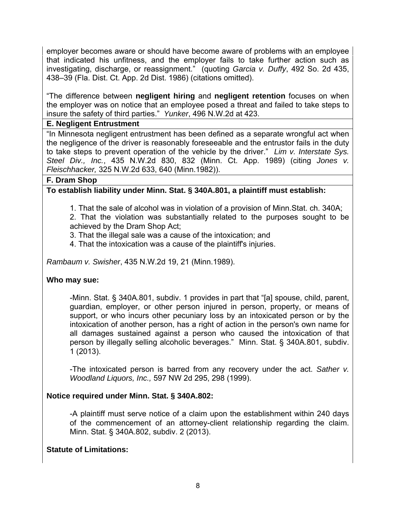employer becomes aware or should have become aware of problems with an employee that indicated his unfitness, and the employer fails to take further action such as investigating, discharge, or reassignment." (quoting *Garcia v. Duffy*, 492 So. 2d 435, 438–39 (Fla. Dist. Ct. App. 2d Dist. 1986) (citations omitted).

"The difference between **negligent hiring** and **negligent retention** focuses on when the employer was on notice that an employee posed a threat and failed to take steps to insure the safety of third parties." *Yunker*, 496 N.W.2d at 423.

#### **E. Negligent Entrustment**

"In Minnesota negligent entrustment has been defined as a separate wrongful act when the negligence of the driver is reasonably foreseeable and the entrustor fails in the duty to take steps to prevent operation of the vehicle by the driver." *Lim v. Interstate Sys. Steel Div., Inc.*, 435 N.W.2d 830, 832 (Minn. Ct. App. 1989) (citing *Jones v. Fleischhacker,* 325 N.W.2d 633, 640 (Minn.1982)).

#### **F. Dram Shop**

#### **To establish liability under Minn. Stat. § 340A.801, a plaintiff must establish:**

 1. That the sale of alcohol was in violation of a provision of Minn.Stat. ch. 340A; 2. That the violation was substantially related to the purposes sought to be

achieved by the Dram Shop Act; 3. That the illegal sale was a cause of the intoxication; and

4. That the intoxication was a cause of the plaintiff's injuries.

*Rambaum v. Swisher*, 435 N.W.2d 19, 21 (Minn.1989).

#### **Who may sue:**

 -Minn. Stat. § 340A.801, subdiv. 1 provides in part that "[a] spouse, child, parent, guardian, employer, or other person injured in person, property, or means of support, or who incurs other pecuniary loss by an intoxicated person or by the intoxication of another person, has a right of action in the person's own name for all damages sustained against a person who caused the intoxication of that person by illegally selling alcoholic beverages." Minn. Stat. § 340A.801, subdiv. 1 (2013).

 -The intoxicated person is barred from any recovery under the act. *Sather v. Woodland Liquors, Inc.,* 597 NW 2d 295, 298 (1999).

## **Notice required under Minn. Stat. § 340A.802:**

 -A plaintiff must serve notice of a claim upon the establishment within 240 days of the commencement of an attorney-client relationship regarding the claim. Minn. Stat. § 340A.802, subdiv. 2 (2013).

## **Statute of Limitations:**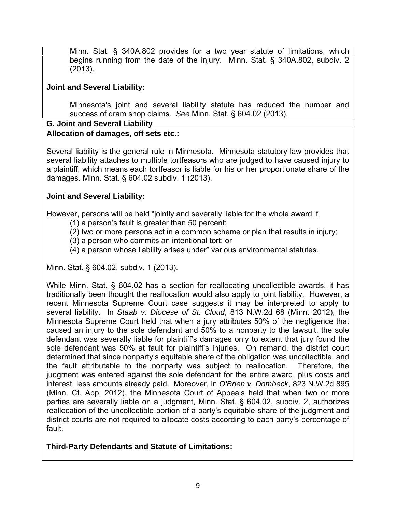Minn. Stat. § 340A.802 provides for a two year statute of limitations, which begins running from the date of the injury. Minn. Stat. § 340A.802, subdiv. 2 (2013).

## **Joint and Several Liability:**

 Minnesota's joint and several liability statute has reduced the number and success of dram shop claims. *See* Minn. Stat. § 604.02 (2013).

#### **G. Joint and Several Liability**

## **Allocation of damages, off sets etc.:**

Several liability is the general rule in Minnesota. Minnesota statutory law provides that several liability attaches to multiple tortfeasors who are judged to have caused injury to a plaintiff, which means each tortfeasor is liable for his or her proportionate share of the damages. Minn. Stat. § 604.02 subdiv. 1 (2013).

## **Joint and Several Liability:**

However, persons will be held "jointly and severally liable for the whole award if

(1) a person's fault is greater than 50 percent;

(2) two or more persons act in a common scheme or plan that results in injury;

(3) a person who commits an intentional tort; or

(4) a person whose liability arises under" various environmental statutes.

Minn. Stat. § 604.02, subdiv. 1 (2013).

While Minn. Stat. § 604.02 has a section for reallocating uncollectible awards, it has traditionally been thought the reallocation would also apply to joint liability. However, a recent Minnesota Supreme Court case suggests it may be interpreted to apply to several liability. In *Staab v. Diocese of St. Cloud*, 813 N.W.2d 68 (Minn. 2012), the Minnesota Supreme Court held that when a jury attributes 50% of the negligence that caused an injury to the sole defendant and 50% to a nonparty to the lawsuit, the sole defendant was severally liable for plaintiff's damages only to extent that jury found the sole defendant was 50% at fault for plaintiff's injuries. On remand, the district court determined that since nonparty's equitable share of the obligation was uncollectible, and the fault attributable to the nonparty was subject to reallocation. Therefore, the judgment was entered against the sole defendant for the entire award, plus costs and interest, less amounts already paid. Moreover, in *O'Brien v. Dombeck*, 823 N.W.2d 895 (Minn. Ct. App. 2012), the Minnesota Court of Appeals held that when two or more parties are severally liable on a judgment, Minn. Stat. § 604.02, subdiv. 2, authorizes reallocation of the uncollectible portion of a party's equitable share of the judgment and district courts are not required to allocate costs according to each party's percentage of fault.

# **Third-Party Defendants and Statute of Limitations:**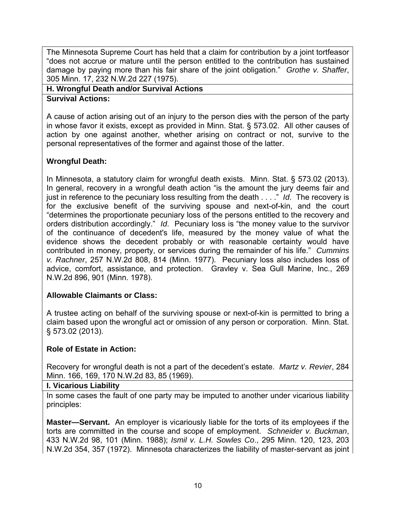The Minnesota Supreme Court has held that a claim for contribution by a joint tortfeasor "does not accrue or mature until the person entitled to the contribution has sustained damage by paying more than his fair share of the joint obligation." *Grothe v. Shaffer*, 305 Minn. 17, 232 N.W.2d 227 (1975).

#### **H. Wrongful Death and/or Survival Actions**

**Survival Actions:** 

A cause of action arising out of an injury to the person dies with the person of the party in whose favor it exists, except as provided in Minn. Stat. § 573.02. All other causes of action by one against another, whether arising on contract or not, survive to the personal representatives of the former and against those of the latter.

# **Wrongful Death:**

In Minnesota, a statutory claim for wrongful death exists. Minn. Stat. § 573.02 (2013). In general, recovery in a wrongful death action "is the amount the jury deems fair and just in reference to the pecuniary loss resulting from the death . . . ." *Id*. The recovery is for the exclusive benefit of the surviving spouse and next-of-kin, and the court "determines the proportionate pecuniary loss of the persons entitled to the recovery and orders distribution accordingly." *Id*. Pecuniary loss is "the money value to the survivor of the continuance of decedent's life, measured by the money value of what the evidence shows the decedent probably or with reasonable certainty would have contributed in money, property, or services during the remainder of his life." *Cummins v. Rachner*, 257 N.W.2d 808, 814 (Minn. 1977). Pecuniary loss also includes loss of advice, comfort, assistance, and protection. Gravley v. Sea Gull Marine, Inc., 269 N.W.2d 896, 901 (Minn. 1978).

## **Allowable Claimants or Class:**

A trustee acting on behalf of the surviving spouse or next-of-kin is permitted to bring a claim based upon the wrongful act or omission of any person or corporation. Minn. Stat. § 573.02 (2013).

# **Role of Estate in Action:**

Recovery for wrongful death is not a part of the decedent's estate. *Martz v. Revier*, 284 Minn. 166, 169, 170 N.W.2d 83, 85 (1969).

## **I. Vicarious Liability**

In some cases the fault of one party may be imputed to another under vicarious liability principles:

**Master—Servant.** An employer is vicariously liable for the torts of its employees if the torts are committed in the course and scope of employment. *Schneider v. Buckman*, 433 N.W.2d 98, 101 (Minn. 1988); *Ismil v. L.H. Sowles Co*., 295 Minn. 120, 123, 203 N.W.2d 354, 357 (1972). Minnesota characterizes the liability of master-servant as joint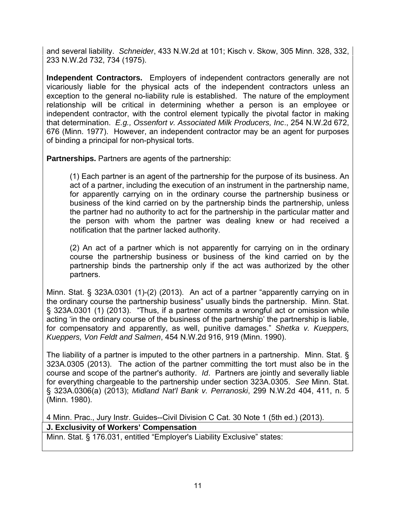and several liability. *Schneider*, 433 N.W.2d at 101; Kisch v. Skow, 305 Minn. 328, 332, 233 N.W.2d 732, 734 (1975).

**Independent Contractors.** Employers of independent contractors generally are not vicariously liable for the physical acts of the independent contractors unless an exception to the general no-liability rule is established. The nature of the employment relationship will be critical in determining whether a person is an employee or independent contractor, with the control element typically the pivotal factor in making that determination. *E.g., Ossenfort v. Associated Milk Producers, Inc*., 254 N.W.2d 672, 676 (Minn. 1977). However, an independent contractor may be an agent for purposes of binding a principal for non-physical torts.

**Partnerships.** Partners are agents of the partnership:

 (1) Each partner is an agent of the partnership for the purpose of its business. An act of a partner, including the execution of an instrument in the partnership name, for apparently carrying on in the ordinary course the partnership business or business of the kind carried on by the partnership binds the partnership, unless the partner had no authority to act for the partnership in the particular matter and the person with whom the partner was dealing knew or had received a notification that the partner lacked authority.

 (2) An act of a partner which is not apparently for carrying on in the ordinary course the partnership business or business of the kind carried on by the partnership binds the partnership only if the act was authorized by the other partners.

Minn. Stat. § 323A.0301 (1)-(2) (2013). An act of a partner "apparently carrying on in the ordinary course the partnership business" usually binds the partnership. Minn. Stat. § 323A.0301 (1) (2013). "Thus, if a partner commits a wrongful act or omission while acting 'in the ordinary course of the business of the partnership' the partnership is liable, for compensatory and apparently, as well, punitive damages." *Shetka v. Kueppers, Kueppers, Von Feldt and Salmen*, 454 N.W.2d 916, 919 (Minn. 1990).

The liability of a partner is imputed to the other partners in a partnership. Minn. Stat. § 323A.0305 (2013). The action of the partner committing the tort must also be in the course and scope of the partner's authority. *Id*. Partners are jointly and severally liable for everything chargeable to the partnership under section 323A.0305. *See* Minn. Stat. § 323A.0306(a) (2013); *Midland Nat'l Bank v. Perranoski*, 299 N.W.2d 404, 411, n. 5 (Minn. 1980).

4 Minn. Prac., Jury Instr. Guides--Civil Division C Cat. 30 Note 1 (5th ed.) (2013).

## **J. Exclusivity of Workers' Compensation**

Minn. Stat. § 176.031, entitled "Employer's Liability Exclusive" states: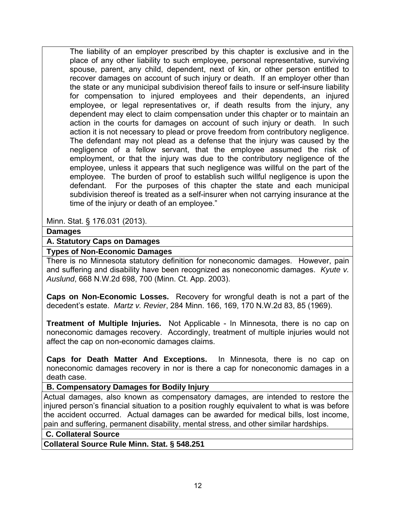The liability of an employer prescribed by this chapter is exclusive and in the place of any other liability to such employee, personal representative, surviving spouse, parent, any child, dependent, next of kin, or other person entitled to recover damages on account of such injury or death. If an employer other than the state or any municipal subdivision thereof fails to insure or self-insure liability for compensation to injured employees and their dependents, an injured employee, or legal representatives or, if death results from the injury, any dependent may elect to claim compensation under this chapter or to maintain an action in the courts for damages on account of such injury or death. In such action it is not necessary to plead or prove freedom from contributory negligence. The defendant may not plead as a defense that the injury was caused by the negligence of a fellow servant, that the employee assumed the risk of employment, or that the injury was due to the contributory negligence of the employee, unless it appears that such negligence was willful on the part of the employee. The burden of proof to establish such willful negligence is upon the defendant. For the purposes of this chapter the state and each municipal subdivision thereof is treated as a self-insurer when not carrying insurance at the time of the injury or death of an employee."

Minn. Stat. § 176.031 (2013).

#### **Damages**

#### **A. Statutory Caps on Damages**

#### **Types of Non-Economic Damages**

There is no Minnesota statutory definition for noneconomic damages. However, pain and suffering and disability have been recognized as noneconomic damages. *Kyute v. Auslund*, 668 N.W.2d 698, 700 (Minn. Ct. App. 2003).

**Caps on Non-Economic Losses.** Recovery for wrongful death is not a part of the decedent's estate. *Martz v. Revier*, 284 Minn. 166, 169, 170 N.W.2d 83, 85 (1969).

**Treatment of Multiple Injuries.** Not Applicable - In Minnesota, there is no cap on noneconomic damages recovery. Accordingly, treatment of multiple injuries would not affect the cap on non-economic damages claims.

**Caps for Death Matter And Exceptions.** In Minnesota, there is no cap on noneconomic damages recovery in nor is there a cap for noneconomic damages in a death case.

## **B. Compensatory Damages for Bodily Injury**

Actual damages, also known as compensatory damages, are intended to restore the injured person's financial situation to a position roughly equivalent to what is was before the accident occurred. Actual damages can be awarded for medical bills, lost income, pain and suffering, permanent disability, mental stress, and other similar hardships.

 **C. Collateral Source** 

**Collateral Source Rule Minn. Stat. § 548.251**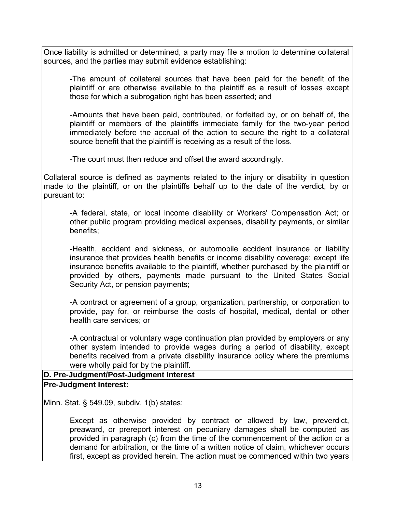Once liability is admitted or determined, a party may file a motion to determine collateral sources, and the parties may submit evidence establishing:

-The amount of collateral sources that have been paid for the benefit of the plaintiff or are otherwise available to the plaintiff as a result of losses except those for which a subrogation right has been asserted; and

 -Amounts that have been paid, contributed, or forfeited by, or on behalf of, the plaintiff or members of the plaintiffs immediate family for the two-year period immediately before the accrual of the action to secure the right to a collateral source benefit that the plaintiff is receiving as a result of the loss.

-The court must then reduce and offset the award accordingly.

Collateral source is defined as payments related to the injury or disability in question made to the plaintiff, or on the plaintiffs behalf up to the date of the verdict, by or pursuant to:

 -A federal, state, or local income disability or Workers' Compensation Act; or other public program providing medical expenses, disability payments, or similar benefits;

 -Health, accident and sickness, or automobile accident insurance or liability insurance that provides health benefits or income disability coverage; except life insurance benefits available to the plaintiff, whether purchased by the plaintiff or provided by others, payments made pursuant to the United States Social Security Act, or pension payments;

 -A contract or agreement of a group, organization, partnership, or corporation to provide, pay for, or reimburse the costs of hospital, medical, dental or other health care services; or

 -A contractual or voluntary wage continuation plan provided by employers or any other system intended to provide wages during a period of disability, except benefits received from a private disability insurance policy where the premiums were wholly paid for by the plaintiff.

#### **D. Pre-Judgment/Post-Judgment Interest Pre-Judgment Interest:**

Minn. Stat. § 549.09, subdiv. 1(b) states:

 Except as otherwise provided by contract or allowed by law, preverdict, preaward, or prereport interest on pecuniary damages shall be computed as provided in paragraph (c) from the time of the commencement of the action or a demand for arbitration, or the time of a written notice of claim, whichever occurs first, except as provided herein. The action must be commenced within two years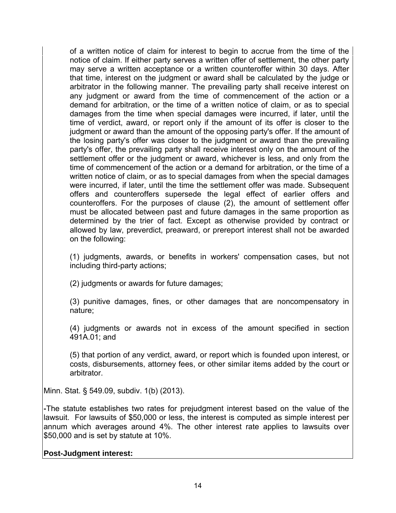of a written notice of claim for interest to begin to accrue from the time of the notice of claim. If either party serves a written offer of settlement, the other party may serve a written acceptance or a written counteroffer within 30 days. After that time, interest on the judgment or award shall be calculated by the judge or arbitrator in the following manner. The prevailing party shall receive interest on any judgment or award from the time of commencement of the action or a demand for arbitration, or the time of a written notice of claim, or as to special damages from the time when special damages were incurred, if later, until the time of verdict, award, or report only if the amount of its offer is closer to the judgment or award than the amount of the opposing party's offer. If the amount of the losing party's offer was closer to the judgment or award than the prevailing party's offer, the prevailing party shall receive interest only on the amount of the settlement offer or the judgment or award, whichever is less, and only from the time of commencement of the action or a demand for arbitration, or the time of a written notice of claim, or as to special damages from when the special damages were incurred, if later, until the time the settlement offer was made. Subsequent offers and counteroffers supersede the legal effect of earlier offers and counteroffers. For the purposes of clause (2), the amount of settlement offer must be allocated between past and future damages in the same proportion as determined by the trier of fact. Except as otherwise provided by contract or allowed by law, preverdict, preaward, or prereport interest shall not be awarded on the following:

 (1) judgments, awards, or benefits in workers' compensation cases, but not including third-party actions;

(2) judgments or awards for future damages;

 (3) punitive damages, fines, or other damages that are noncompensatory in nature;

 (4) judgments or awards not in excess of the amount specified in section 491A.01; and

 (5) that portion of any verdict, award, or report which is founded upon interest, or costs, disbursements, attorney fees, or other similar items added by the court or arbitrator.

Minn. Stat. § 549.09, subdiv. 1(b) (2013).

**-**The statute establishes two rates for prejudgment interest based on the value of the lawsuit. For lawsuits of \$50,000 or less, the interest is computed as simple interest per annum which averages around 4%. The other interest rate applies to lawsuits over \$50,000 and is set by statute at 10%.

## **Post-Judgment interest:**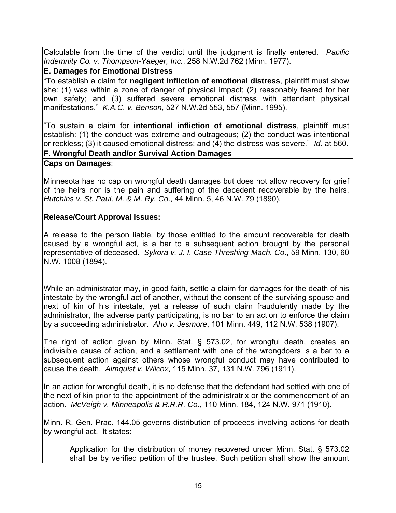Calculable from the time of the verdict until the judgment is finally entered. *Pacific Indemnity Co. v. Thompson-Yaeger, Inc.*, 258 N.W.2d 762 (Minn. 1977).

**E. Damages for Emotional Distress** 

"To establish a claim for **negligent infliction of emotional distress**, plaintiff must show she: (1) was within a zone of danger of physical impact; (2) reasonably feared for her own safety; and (3) suffered severe emotional distress with attendant physical manifestations." *K.A.C. v. Benson*, 527 N.W.2d 553, 557 (Minn. 1995).

"To sustain a claim for **intentional infliction of emotional distress**, plaintiff must establish: (1) the conduct was extreme and outrageous; (2) the conduct was intentional or reckless; (3) it caused emotional distress; and (4) the distress was severe." *Id.* at 560. **F. Wrongful Death and/or Survival Action Damages**

# **Caps on Damages**:

Minnesota has no cap on wrongful death damages but does not allow recovery for grief of the heirs nor is the pain and suffering of the decedent recoverable by the heirs. *Hutchins v. St. Paul, M. & M. Ry. Co*., 44 Minn. 5, 46 N.W. 79 (1890).

## **Release/Court Approval Issues:**

A release to the person liable, by those entitled to the amount recoverable for death caused by a wrongful act, is a bar to a subsequent action brought by the personal representative of deceased. *Sykora v. J. I. Case Threshing-Mach. Co*., 59 Minn. 130, 60 N.W. 1008 (1894).

While an administrator may, in good faith, settle a claim for damages for the death of his intestate by the wrongful act of another, without the consent of the surviving spouse and next of kin of his intestate, yet a release of such claim fraudulently made by the administrator, the adverse party participating, is no bar to an action to enforce the claim by a succeeding administrator. *Aho v. Jesmore*, 101 Minn. 449, 112 N.W. 538 (1907).

The right of action given by Minn. Stat. § 573.02, for wrongful death, creates an indivisible cause of action, and a settlement with one of the wrongdoers is a bar to a subsequent action against others whose wrongful conduct may have contributed to cause the death. *Almquist v. Wilcox*, 115 Minn. 37, 131 N.W. 796 (1911).

In an action for wrongful death, it is no defense that the defendant had settled with one of the next of kin prior to the appointment of the administratrix or the commencement of an action. *McVeigh v. Minneapolis & R.R.R. Co*., 110 Minn. 184, 124 N.W. 971 (1910).

Minn. R. Gen. Prac. 144.05 governs distribution of proceeds involving actions for death by wrongful act. It states:

 Application for the distribution of money recovered under Minn. Stat. § 573.02 shall be by verified petition of the trustee. Such petition shall show the amount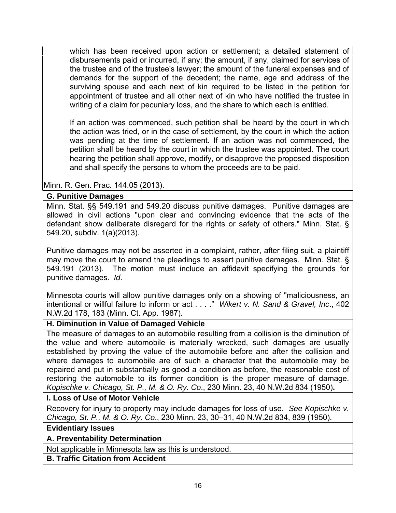which has been received upon action or settlement; a detailed statement of disbursements paid or incurred, if any; the amount, if any, claimed for services of the trustee and of the trustee's lawyer; the amount of the funeral expenses and of demands for the support of the decedent; the name, age and address of the surviving spouse and each next of kin required to be listed in the petition for appointment of trustee and all other next of kin who have notified the trustee in writing of a claim for pecuniary loss, and the share to which each is entitled.

 If an action was commenced, such petition shall be heard by the court in which the action was tried, or in the case of settlement, by the court in which the action was pending at the time of settlement. If an action was not commenced, the petition shall be heard by the court in which the trustee was appointed. The court hearing the petition shall approve, modify, or disapprove the proposed disposition and shall specify the persons to whom the proceeds are to be paid.

Minn. R. Gen. Prac. 144.05 (2013).

## **G. Punitive Damages**

Minn. Stat. §§ 549.191 and 549.20 discuss punitive damages. Punitive damages are allowed in civil actions "upon clear and convincing evidence that the acts of the defendant show deliberate disregard for the rights or safety of others." Minn. Stat. § 549.20, subdiv. 1(a)(2013).

Punitive damages may not be asserted in a complaint, rather, after filing suit, a plaintiff may move the court to amend the pleadings to assert punitive damages. Minn. Stat. § 549.191 (2013). The motion must include an affidavit specifying the grounds for punitive damages. *Id*.

Minnesota courts will allow punitive damages only on a showing of "maliciousness, an intentional or willful failure to inform or act . . . ." *Wikert v. N. Sand & Gravel, Inc*., 402 N.W.2d 178, 183 (Minn. Ct. App. 1987).

## **H. Diminution in Value of Damaged Vehicle**

The measure of damages to an automobile resulting from a collision is the diminution of the value and where automobile is materially wrecked, such damages are usually established by proving the value of the automobile before and after the collision and where damages to automobile are of such a character that the automobile may be repaired and put in substantially as good a condition as before, the reasonable cost of restoring the automobile to its former condition is the proper measure of damage. *Kopischke v. Chicago, St. P., M. & O. Ry. Co*., 230 Minn. 23, 40 N.W.2d 834 (1950)**.** 

## **I. Loss of Use of Motor Vehicle**

Recovery for injury to property may include damages for loss of use. *See Kopischke v. Chicago, St. P., M. & O. Ry. Co*., 230 Minn. 23, 30–31, 40 N.W.2d 834, 839 (1950).

# **Evidentiary Issues**

## **A. Preventability Determination**

Not applicable in Minnesota law as this is understood.

**B. Traffic Citation from Accident**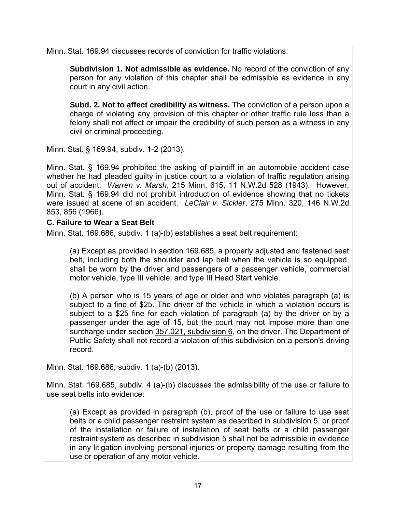Minn. Stat. 169.94 discusses records of conviction for traffic violations:

 **Subdivision 1. Not admissible as evidence.** No record of the conviction of any person for any violation of this chapter shall be admissible as evidence in any court in any civil action.

 **Subd. 2. Not to affect credibility as witness.** The conviction of a person upon a charge of violating any provision of this chapter or other traffic rule less than a felony shall not affect or impair the credibility of such person as a witness in any civil or criminal proceeding.

Minn. Stat. § 169.94, subdiv. 1-2 (2013).

Minn. Stat. § 169.94 prohibited the asking of plaintiff in an automobile accident case whether he had pleaded guilty in justice court to a violation of traffic regulation arising out of accident. *Warren v. Marsh*, 215 Minn. 615, 11 N.W.2d 528 (1943). However, Minn. Stat. § 169.94 did not prohibit introduction of evidence showing that no tickets were issued at scene of an accident. *LeClair v. Sickler*, 275 Minn. 320, 146 N.W.2d 853, 856 (1966).

## **C. Failure to Wear a Seat Belt**

Minn. Stat. 169.686, subdiv. 1 (a)-(b) establishes a seat belt requirement:

 (a) Except as provided in section 169.685, a properly adjusted and fastened seat belt, including both the shoulder and lap belt when the vehicle is so equipped, shall be worn by the driver and passengers of a passenger vehicle, commercial motor vehicle, type III vehicle, and type III Head Start vehicle.

 (b) A person who is 15 years of age or older and who violates paragraph (a) is subject to a fine of \$25. The driver of the vehicle in which a violation occurs is subject to a \$25 fine for each violation of paragraph (a) by the driver or by a passenger under the age of 15, but the court may not impose more than one surcharge under section 357.021, subdivision 6, on the driver. The Department of Public Safety shall not record a violation of this subdivision on a person's driving record.

Minn. Stat. 169.686, subdiv. 1 (a)-(b) (2013).

Minn. Stat. 169.685, subdiv. 4 (a)-(b) discusses the admissibility of the use or failure to use seat belts into evidence:

(a) Except as provided in paragraph (b), proof of the use or failure to use seat belts or a child passenger restraint system as described in subdivision 5, or proof of the installation or failure of installation of seat belts or a child passenger restraint system as described in subdivision 5 shall not be admissible in evidence in any litigation involving personal injuries or property damage resulting from the use or operation of any motor vehicle.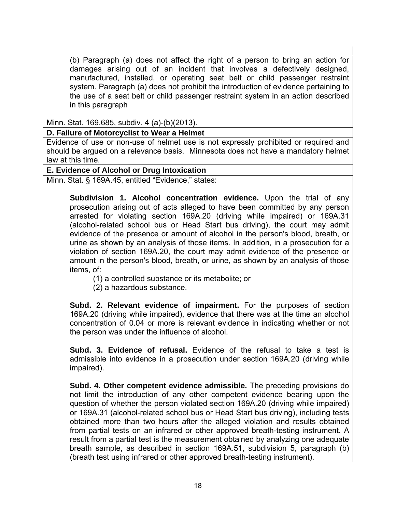(b) Paragraph (a) does not affect the right of a person to bring an action for damages arising out of an incident that involves a defectively designed, manufactured, installed, or operating seat belt or child passenger restraint system. Paragraph (a) does not prohibit the introduction of evidence pertaining to the use of a seat belt or child passenger restraint system in an action described in this paragraph

Minn. Stat. 169.685, subdiv. 4 (a)-(b)(2013).

## **D. Failure of Motorcyclist to Wear a Helmet**

Evidence of use or non-use of helmet use is not expressly prohibited or required and should be argued on a relevance basis. Minnesota does not have a mandatory helmet law at this time.

#### **E. Evidence of Alcohol or Drug Intoxication**

Minn. Stat. § 169A.45, entitled "Evidence," states:

 **Subdivision 1. Alcohol concentration evidence.** Upon the trial of any prosecution arising out of acts alleged to have been committed by any person arrested for violating section 169A.20 (driving while impaired) or 169A.31 (alcohol-related school bus or Head Start bus driving), the court may admit evidence of the presence or amount of alcohol in the person's blood, breath, or urine as shown by an analysis of those items. In addition, in a prosecution for a violation of section 169A.20, the court may admit evidence of the presence or amount in the person's blood, breath, or urine, as shown by an analysis of those items, of:

(1) a controlled substance or its metabolite; or

(2) a hazardous substance.

 **Subd. 2. Relevant evidence of impairment.** For the purposes of section 169A.20 (driving while impaired), evidence that there was at the time an alcohol concentration of 0.04 or more is relevant evidence in indicating whether or not the person was under the influence of alcohol.

 **Subd. 3. Evidence of refusal.** Evidence of the refusal to take a test is admissible into evidence in a prosecution under section 169A.20 (driving while impaired).

 **Subd. 4. Other competent evidence admissible.** The preceding provisions do not limit the introduction of any other competent evidence bearing upon the question of whether the person violated section 169A.20 (driving while impaired) or 169A.31 (alcohol-related school bus or Head Start bus driving), including tests obtained more than two hours after the alleged violation and results obtained from partial tests on an infrared or other approved breath-testing instrument. A result from a partial test is the measurement obtained by analyzing one adequate breath sample, as described in section 169A.51, subdivision 5, paragraph (b) (breath test using infrared or other approved breath-testing instrument).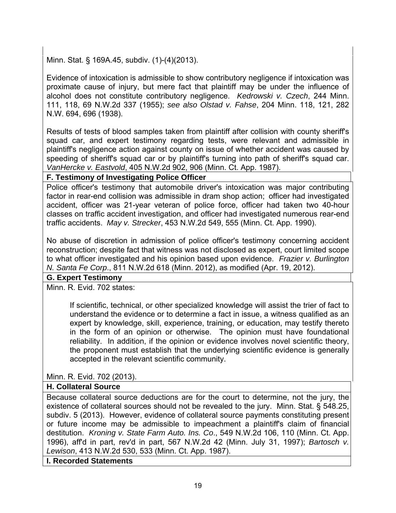Minn. Stat. § 169A.45, subdiv. (1)-(4)(2013).

Evidence of intoxication is admissible to show contributory negligence if intoxication was proximate cause of injury, but mere fact that plaintiff may be under the influence of alcohol does not constitute contributory negligence. *Kedrowski v. Czech*, 244 Minn. 111, 118, 69 N.W.2d 337 (1955); *see also Olstad v. Fahse*, 204 Minn. 118, 121, 282 N.W. 694, 696 (1938).

Results of tests of blood samples taken from plaintiff after collision with county sheriff's squad car, and expert testimony regarding tests, were relevant and admissible in plaintiff's negligence action against county on issue of whether accident was caused by speeding of sheriff's squad car or by plaintiff's turning into path of sheriff's squad car. *VanHercke v. Eastvold*, 405 N.W.2d 902, 906 (Minn. Ct. App. 1987).

#### **F. Testimony of Investigating Police Officer**

Police officer's testimony that automobile driver's intoxication was major contributing factor in rear-end collision was admissible in dram shop action; officer had investigated accident, officer was 21-year veteran of police force, officer had taken two 40-hour classes on traffic accident investigation, and officer had investigated numerous rear-end traffic accidents. *May v. Strecker*, 453 N.W.2d 549, 555 (Minn. Ct. App. 1990).

No abuse of discretion in admission of police officer's testimony concerning accident reconstruction; despite fact that witness was not disclosed as expert, court limited scope to what officer investigated and his opinion based upon evidence. *Frazier v. Burlington N. Santa Fe Corp*., 811 N.W.2d 618 (Minn. 2012), as modified (Apr. 19, 2012).

## **G. Expert Testimony**

Minn. R. Evid. 702 states:

 If scientific, technical, or other specialized knowledge will assist the trier of fact to understand the evidence or to determine a fact in issue, a witness qualified as an expert by knowledge, skill, experience, training, or education, may testify thereto in the form of an opinion or otherwise. The opinion must have foundational reliability. In addition, if the opinion or evidence involves novel scientific theory, the proponent must establish that the underlying scientific evidence is generally accepted in the relevant scientific community.

Minn. R. Evid. 702 (2013).

## **H. Collateral Source**

Because collateral source deductions are for the court to determine, not the jury, the existence of collateral sources should not be revealed to the jury. Minn. Stat. § 548.25, subdiv. 5 (2013). However, evidence of collateral source payments constituting present or future income may be admissible to impeachment a plaintiff's claim of financial destitution. *Kroning v. State Farm Auto. Ins. Co*., 549 N.W.2d 106, 110 (Minn. Ct. App. 1996), aff'd in part, rev'd in part, 567 N.W.2d 42 (Minn. July 31, 1997); *Bartosch v. Lewison*, 413 N.W.2d 530, 533 (Minn. Ct. App. 1987).

**I. Recorded Statements**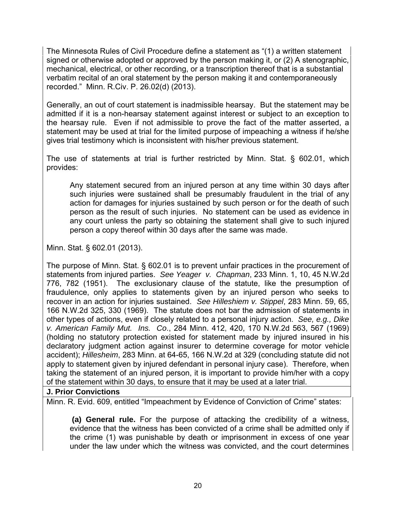The Minnesota Rules of Civil Procedure define a statement as "(1) a written statement signed or otherwise adopted or approved by the person making it, or (2) A stenographic, mechanical, electrical, or other recording, or a transcription thereof that is a substantial verbatim recital of an oral statement by the person making it and contemporaneously recorded." Minn. R.Civ. P. 26.02(d) (2013).

Generally, an out of court statement is inadmissible hearsay. But the statement may be admitted if it is a non-hearsay statement against interest or subject to an exception to the hearsay rule. Even if not admissible to prove the fact of the matter asserted, a statement may be used at trial for the limited purpose of impeaching a witness if he/she gives trial testimony which is inconsistent with his/her previous statement.

The use of statements at trial is further restricted by Minn. Stat. § 602.01, which provides:

 Any statement secured from an injured person at any time within 30 days after such injuries were sustained shall be presumably fraudulent in the trial of any action for damages for injuries sustained by such person or for the death of such person as the result of such injuries. No statement can be used as evidence in any court unless the party so obtaining the statement shall give to such injured person a copy thereof within 30 days after the same was made.

Minn. Stat. § 602.01 (2013).

The purpose of Minn. Stat. § 602.01 is to prevent unfair practices in the procurement of statements from injured parties. *See Yeager v. Chapman*, 233 Minn. 1, 10, 45 N.W.2d 776, 782 (1951). The exclusionary clause of the statute, like the presumption of fraudulence, only applies to statements given by an injured person who seeks to recover in an action for injuries sustained. *See Hilleshiem v. Stippel*, 283 Minn. 59, 65, 166 N.W.2d 325, 330 (1969). The statute does not bar the admission of statements in other types of actions, even if closely related to a personal injury action. *See, e.g., Dike v. American Family Mut. Ins. Co*., 284 Minn. 412, 420, 170 N.W.2d 563, 567 (1969) (holding no statutory protection existed for statement made by injured insured in his declaratory judgment action against insurer to determine coverage for motor vehicle accident); *Hillesheim*, 283 Minn. at 64-65, 166 N.W.2d at 329 (concluding statute did not apply to statement given by injured defendant in personal injury case).Therefore, when taking the statement of an injured person, it is important to provide him/her with a copy of the statement within 30 days, to ensure that it may be used at a later trial.

## **J. Prior Convictions**

Minn. R. Evid. 609, entitled "Impeachment by Evidence of Conviction of Crime" states:

 **(a) General rule.** For the purpose of attacking the credibility of a witness, evidence that the witness has been convicted of a crime shall be admitted only if the crime (1) was punishable by death or imprisonment in excess of one year under the law under which the witness was convicted, and the court determines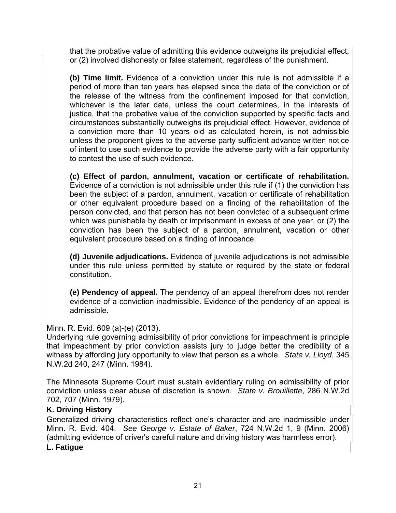that the probative value of admitting this evidence outweighs its prejudicial effect, or (2) involved dishonesty or false statement, regardless of the punishment.

 **(b) Time limit.** Evidence of a conviction under this rule is not admissible if a period of more than ten years has elapsed since the date of the conviction or of the release of the witness from the confinement imposed for that conviction, whichever is the later date, unless the court determines, in the interests of justice, that the probative value of the conviction supported by specific facts and circumstances substantially outweighs its prejudicial effect. However, evidence of a conviction more than 10 years old as calculated herein, is not admissible unless the proponent gives to the adverse party sufficient advance written notice of intent to use such evidence to provide the adverse party with a fair opportunity to contest the use of such evidence.

 **(c) Effect of pardon, annulment, vacation or certificate of rehabilitation.** Evidence of a conviction is not admissible under this rule if (1) the conviction has been the subject of a pardon, annulment, vacation or certificate of rehabilitation or other equivalent procedure based on a finding of the rehabilitation of the person convicted, and that person has not been convicted of a subsequent crime which was punishable by death or imprisonment in excess of one year, or (2) the conviction has been the subject of a pardon, annulment, vacation or other equivalent procedure based on a finding of innocence.

 **(d) Juvenile adjudications.** Evidence of juvenile adjudications is not admissible under this rule unless permitted by statute or required by the state or federal constitution.

 **(e) Pendency of appeal.** The pendency of an appeal therefrom does not render evidence of a conviction inadmissible. Evidence of the pendency of an appeal is admissible.

Minn. R. Evid. 609 (a)-(e) (2013).

Underlying rule governing admissibility of prior convictions for impeachment is principle that impeachment by prior conviction assists jury to judge better the credibility of a witness by affording jury opportunity to view that person as a whole. *State v. Lloyd*, 345 N.W.2d 240, 247 (Minn. 1984).

The Minnesota Supreme Court must sustain evidentiary ruling on admissibility of prior conviction unless clear abuse of discretion is shown. *State v. Brouillette*, 286 N.W.2d 702, 707 (Minn. 1979).

#### **K. Driving History**

Generalized driving characteristics reflect one's character and are inadmissible under Minn. R. Evid. 404. *See George v. Estate of Baker*, 724 N.W.2d 1, 9 (Minn. 2006) (admitting evidence of driver's careful nature and driving history was harmless error).

**L. Fatigue**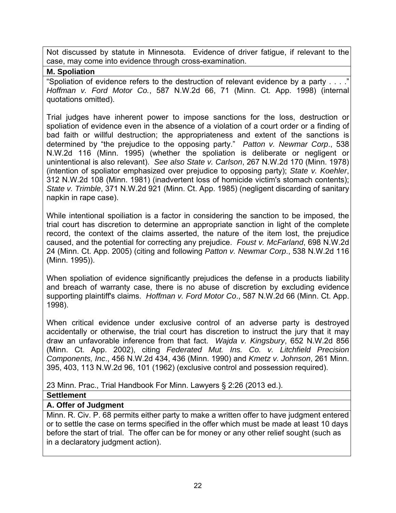Not discussed by statute in Minnesota. Evidence of driver fatigue, if relevant to the case, may come into evidence through cross-examination.

#### **M. Spoliation**

"Spoliation of evidence refers to the destruction of relevant evidence by a party . . . . *Hoffman v. Ford Motor Co.*, 587 N.W.2d 66, 71 (Minn. Ct. App. 1998) (internal quotations omitted).

Trial judges have inherent power to impose sanctions for the loss, destruction or spoliation of evidence even in the absence of a violation of a court order or a finding of bad faith or willful destruction; the appropriateness and extent of the sanctions is determined by "the prejudice to the opposing party." *Patton v. Newmar Corp*., 538 N.W.2d 116 (Minn. 1995) (whether the spoliation is deliberate or negligent or unintentional is also relevant). *See also State v. Carlson*, 267 N.W.2d 170 (Minn. 1978) (intention of spoliator emphasized over prejudice to opposing party); *State v. Koehler*, 312 N.W.2d 108 (Minn. 1981) (inadvertent loss of homicide victim's stomach contents); *State v. Trimble*, 371 N.W.2d 921 (Minn. Ct. App. 1985) (negligent discarding of sanitary napkin in rape case).

While intentional spoiliation is a factor in considering the sanction to be imposed, the trial court has discretion to determine an appropriate sanction in light of the complete record, the context of the claims asserted, the nature of the item lost, the prejudice caused, and the potential for correcting any prejudice. *Foust v. McFarland*, 698 N.W.2d 24 (Minn. Ct. App. 2005) (citing and following *Patton v. Newmar Corp*., 538 N.W.2d 116 (Minn. 1995)).

When spoliation of evidence significantly prejudices the defense in a products liability and breach of warranty case, there is no abuse of discretion by excluding evidence supporting plaintiff's claims. *Hoffman v. Ford Motor Co*., 587 N.W.2d 66 (Minn. Ct. App. 1998).

When critical evidence under exclusive control of an adverse party is destroyed accidentally or otherwise, the trial court has discretion to instruct the jury that it may draw an unfavorable inference from that fact. *Wajda v. Kingsbury*, 652 N.W.2d 856 (Minn. Ct. App. 2002), citing *Federated Mut. Ins. Co. v. Litchfield Precision Components, Inc*., 456 N.W.2d 434, 436 (Minn. 1990) and *Kmetz v. Johnson*, 261 Minn. 395, 403, 113 N.W.2d 96, 101 (1962) (exclusive control and possession required).

23 Minn. Prac., Trial Handbook For Minn. Lawyers § 2:26 (2013 ed.).

## **Settlement**

## **A. Offer of Judgment**

Minn. R. Civ. P. 68 permits either party to make a written offer to have judgment entered or to settle the case on terms specified in the offer which must be made at least 10 days before the start of trial.The offer can be for money or any other relief sought (such as in a declaratory judgment action).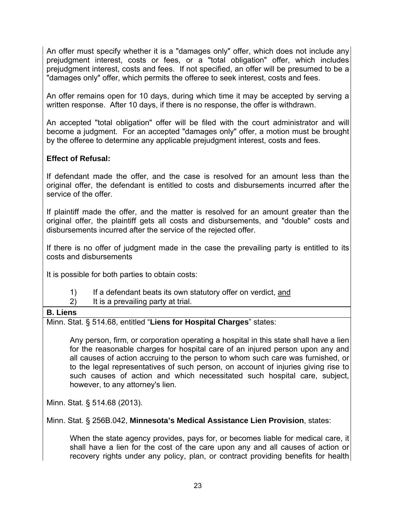An offer must specify whether it is a "damages only" offer, which does not include any prejudgment interest, costs or fees, or a "total obligation" offer, which includes prejudgment interest, costs and fees. If not specified, an offer will be presumed to be a "damages only" offer, which permits the offeree to seek interest, costs and fees.

An offer remains open for 10 days, during which time it may be accepted by serving a written response. After 10 days, if there is no response, the offer is withdrawn.

An accepted "total obligation" offer will be filed with the court administrator and will become a judgment. For an accepted "damages only" offer, a motion must be brought by the offeree to determine any applicable prejudgment interest, costs and fees.

# **Effect of Refusal:**

If defendant made the offer, and the case is resolved for an amount less than the original offer, the defendant is entitled to costs and disbursements incurred after the service of the offer.

If plaintiff made the offer, and the matter is resolved for an amount greater than the original offer, the plaintiff gets all costs and disbursements, and "double" costs and disbursements incurred after the service of the rejected offer.

If there is no offer of judgment made in the case the prevailing party is entitled to its costs and disbursements

It is possible for both parties to obtain costs:

- 1) If a defendant beats its own statutory offer on verdict, and
- 2) It is a prevailing party at trial.

## **B. Liens**

Minn. Stat. § 514.68, entitled "**Liens for Hospital Charges**" states:

 Any person, firm, or corporation operating a hospital in this state shall have a lien for the reasonable charges for hospital care of an injured person upon any and all causes of action accruing to the person to whom such care was furnished, or to the legal representatives of such person, on account of injuries giving rise to such causes of action and which necessitated such hospital care, subject, however, to any attorney's lien.

Minn. Stat. § 514.68 (2013).

Minn. Stat. § 256B.042, **Minnesota's Medical Assistance Lien Provision**, states:

When the state agency provides, pays for, or becomes liable for medical care, it shall have a lien for the cost of the care upon any and all causes of action or recovery rights under any policy, plan, or contract providing benefits for health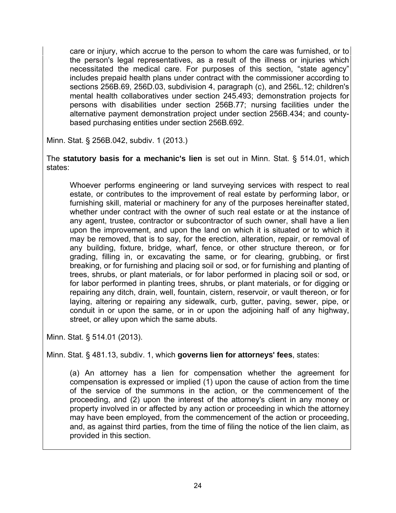care or injury, which accrue to the person to whom the care was furnished, or to the person's legal representatives, as a result of the illness or injuries which necessitated the medical care. For purposes of this section, "state agency" includes prepaid health plans under contract with the commissioner according to sections 256B.69, 256D.03, subdivision 4, paragraph (c), and 256L.12; children's mental health collaboratives under section 245.493; demonstration projects for persons with disabilities under section 256B.77; nursing facilities under the alternative payment demonstration project under section 256B.434; and countybased purchasing entities under section 256B.692.

Minn. Stat. § 256B.042, subdiv. 1 (2013.)

The **statutory basis for a mechanic's lien** is set out in Minn. Stat. § 514.01, which states:

 Whoever performs engineering or land surveying services with respect to real estate, or contributes to the improvement of real estate by performing labor, or furnishing skill, material or machinery for any of the purposes hereinafter stated, whether under contract with the owner of such real estate or at the instance of any agent, trustee, contractor or subcontractor of such owner, shall have a lien upon the improvement, and upon the land on which it is situated or to which it may be removed, that is to say, for the erection, alteration, repair, or removal of any building, fixture, bridge, wharf, fence, or other structure thereon, or for grading, filling in, or excavating the same, or for clearing, grubbing, or first breaking, or for furnishing and placing soil or sod, or for furnishing and planting of trees, shrubs, or plant materials, or for labor performed in placing soil or sod, or for labor performed in planting trees, shrubs, or plant materials, or for digging or repairing any ditch, drain, well, fountain, cistern, reservoir, or vault thereon, or for laying, altering or repairing any sidewalk, curb, gutter, paving, sewer, pipe, or conduit in or upon the same, or in or upon the adjoining half of any highway, street, or alley upon which the same abuts.

Minn. Stat. § 514.01 (2013).

Minn. Stat. § 481.13, subdiv. 1, which **governs lien for attorneys' fees**, states:

 (a) An attorney has a lien for compensation whether the agreement for compensation is expressed or implied (1) upon the cause of action from the time of the service of the summons in the action, or the commencement of the proceeding, and (2) upon the interest of the attorney's client in any money or property involved in or affected by any action or proceeding in which the attorney may have been employed, from the commencement of the action or proceeding, and, as against third parties, from the time of filing the notice of the lien claim, as provided in this section.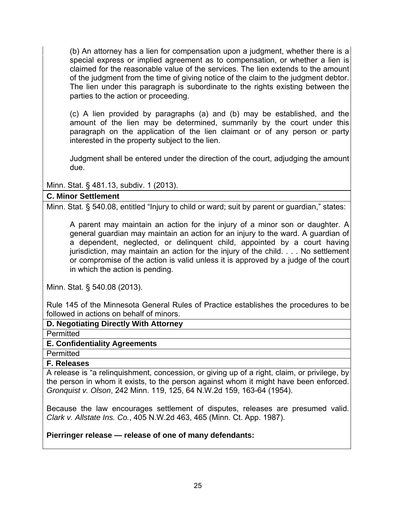(b) An attorney has a lien for compensation upon a judgment, whether there is a special express or implied agreement as to compensation, or whether a lien is claimed for the reasonable value of the services. The lien extends to the amount of the judgment from the time of giving notice of the claim to the judgment debtor. The lien under this paragraph is subordinate to the rights existing between the parties to the action or proceeding.

 (c) A lien provided by paragraphs (a) and (b) may be established, and the amount of the lien may be determined, summarily by the court under this paragraph on the application of the lien claimant or of any person or party interested in the property subject to the lien.

 Judgment shall be entered under the direction of the court, adjudging the amount due.

Minn. Stat. § 481.13, subdiv. 1 (2013).

## **C. Minor Settlement**

Minn. Stat. § 540.08, entitled "Injury to child or ward; suit by parent or guardian," states:

 A parent may maintain an action for the injury of a minor son or daughter. A general guardian may maintain an action for an injury to the ward. A guardian of a dependent, neglected, or delinquent child, appointed by a court having jurisdiction, may maintain an action for the injury of the child. . . . No settlement or compromise of the action is valid unless it is approved by a judge of the court in which the action is pending.

Minn. Stat. § 540.08 (2013).

Rule 145 of the Minnesota General Rules of Practice establishes the procedures to be followed in actions on behalf of minors.

**D. Negotiating Directly With Attorney** 

**Permitted** 

#### **E. Confidentiality Agreements**

**Permitted** 

#### **F. Releases**

A release is "a relinquishment, concession, or giving up of a right, claim, or privilege, by the person in whom it exists, to the person against whom it might have been enforced. *Gronquist v. Olson*, 242 Minn. 119, 125, 64 N.W.2d 159, 163-64 (1954).

Because the law encourages settlement of disputes, releases are presumed valid. *Clark v. Allstate Ins. Co.*, 405 N.W.2d 463, 465 (Minn. Ct. App. 1987).

## **Pierringer release — release of one of many defendants:**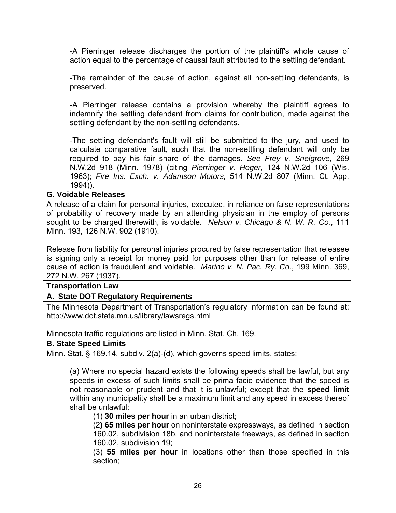-A Pierringer release discharges the portion of the plaintiff's whole cause of action equal to the percentage of causal fault attributed to the settling defendant.

 -The remainder of the cause of action, against all non-settling defendants, is preserved.

 -A Pierringer release contains a provision whereby the plaintiff agrees to indemnify the settling defendant from claims for contribution, made against the settling defendant by the non-settling defendants.

 -The settling defendant's fault will still be submitted to the jury, and used to calculate comparative fault, such that the non-settling defendant will only be required to pay his fair share of the damages. *See Frey v. Snelgrove,* 269 N.W.2d 918 (Minn. 1978) (citing *Pierringer v. Hoger,* 124 N.W.2d 106 (Wis. 1963); *Fire Ins. Exch. v. Adamson Motors,* 514 N.W.2d 807 (Minn. Ct. App. 1994)).

#### **G. Voidable Releases**

A release of a claim for personal injuries, executed, in reliance on false representations of probability of recovery made by an attending physician in the employ of persons sought to be charged therewith, is voidable. *Nelson v. Chicago & N. W. R. Co.*, 111 Minn. 193, 126 N.W. 902 (1910).

Release from liability for personal injuries procured by false representation that releasee is signing only a receipt for money paid for purposes other than for release of entire cause of action is fraudulent and voidable. *Marino v. N. Pac. Ry. Co*., 199 Minn. 369, 272 N.W. 267 (1937).

**Transportation Law** 

## **A. State DOT Regulatory Requirements**

The Minnesota Department of Transportation's regulatory information can be found at: http://www.dot.state.mn.us/library/lawsregs.html

Minnesota traffic regulations are listed in Minn. Stat. Ch. 169.

## **B. State Speed Limits**

Minn. Stat. § 169.14, subdiv. 2(a)-(d), which governs speed limits, states:

 (a) Where no special hazard exists the following speeds shall be lawful, but any speeds in excess of such limits shall be prima facie evidence that the speed is not reasonable or prudent and that it is unlawful; except that the **speed limit** within any municipality shall be a maximum limit and any speed in excess thereof shall be unlawful:

(1) **30 miles per hour** in an urban district;

 (2**) 65 miles per hour** on noninterstate expressways, as defined in section 160.02, subdivision 18b, and noninterstate freeways, as defined in section 160.02, subdivision 19;

 (3) **55 miles per hour** in locations other than those specified in this section;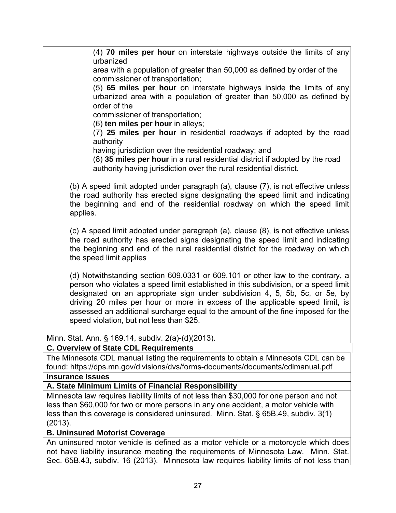(4) **70 miles per hour** on interstate highways outside the limits of any urbanized

 area with a population of greater than 50,000 as defined by order of the commissioner of transportation;

 (5) **65 miles per hour** on interstate highways inside the limits of any urbanized area with a population of greater than 50,000 as defined by order of the

commissioner of transportation;

(6) **ten miles per hour** in alleys;

 (7) **25 miles per hour** in residential roadways if adopted by the road authority

having jurisdiction over the residential roadway; and

 (8) **35 miles per hour** in a rural residential district if adopted by the road authority having jurisdiction over the rural residential district.

 (b) A speed limit adopted under paragraph (a), clause (7), is not effective unless the road authority has erected signs designating the speed limit and indicating the beginning and end of the residential roadway on which the speed limit applies.

 (c) A speed limit adopted under paragraph (a), clause (8), is not effective unless the road authority has erected signs designating the speed limit and indicating the beginning and end of the rural residential district for the roadway on which the speed limit applies

 (d) Notwithstanding section 609.0331 or 609.101 or other law to the contrary, a person who violates a speed limit established in this subdivision, or a speed limit designated on an appropriate sign under subdivision 4, 5, 5b, 5c, or 5e, by driving 20 miles per hour or more in excess of the applicable speed limit, is assessed an additional surcharge equal to the amount of the fine imposed for the speed violation, but not less than \$25.

Minn. Stat. Ann. § 169.14, subdiv. 2(a)-(d)(2013).

## **C. Overview of State CDL Requirements**

The Minnesota CDL manual listing the requirements to obtain a Minnesota CDL can be found: https://dps.mn.gov/divisions/dvs/forms-documents/documents/cdlmanual.pdf

#### **Insurance Issues**

## **A. State Minimum Limits of Financial Responsibility**

Minnesota law requires liability limits of not less than \$30,000 for one person and not less than \$60,000 for two or more persons in any one accident, a motor vehicle with less than this coverage is considered uninsured. Minn. Stat. § 65B.49, subdiv. 3(1) (2013).

#### **B. Uninsured Motorist Coverage**

An uninsured motor vehicle is defined as a motor vehicle or a motorcycle which does not have liability insurance meeting the requirements of Minnesota Law. Minn. Stat. Sec. 65B.43, subdiv. 16 (2013). Minnesota law requires liability limits of not less than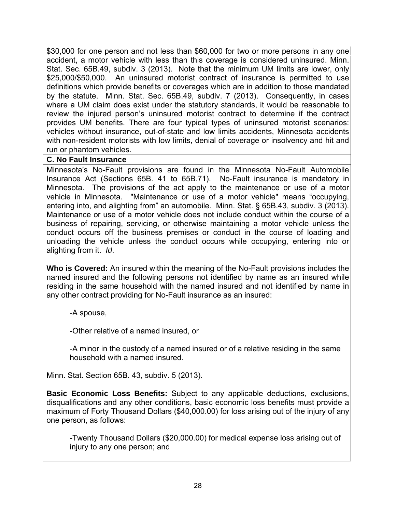\$30,000 for one person and not less than \$60,000 for two or more persons in any one accident, a motor vehicle with less than this coverage is considered uninsured. Minn. Stat. Sec. 65B.49, subdiv. 3 (2013). Note that the minimum UM limits are lower, only \$25,000/\$50,000. An uninsured motorist contract of insurance is permitted to use definitions which provide benefits or coverages which are in addition to those mandated by the statute. Minn. Stat. Sec. 65B.49, subdiv. 7 (2013). Consequently, in cases where a UM claim does exist under the statutory standards, it would be reasonable to review the injured person's uninsured motorist contract to determine if the contract provides UM benefits. There are four typical types of uninsured motorist scenarios: vehicles without insurance, out-of-state and low limits accidents, Minnesota accidents with non-resident motorists with low limits, denial of coverage or insolvency and hit and run or phantom vehicles.

#### **C. No Fault Insurance**

Minnesota's No-Fault provisions are found in the Minnesota No-Fault Automobile Insurance Act (Sections 65B. 41 to 65B.71). No-Fault insurance is mandatory in Minnesota. The provisions of the act apply to the maintenance or use of a motor vehicle in Minnesota. "Maintenance or use of a motor vehicle" means "occupying, entering into, and alighting from" an automobile. Minn. Stat. § 65B.43, subdiv. 3 (2013). Maintenance or use of a motor vehicle does not include conduct within the course of a business of repairing, servicing, or otherwise maintaining a motor vehicle unless the conduct occurs off the business premises or conduct in the course of loading and unloading the vehicle unless the conduct occurs while occupying, entering into or alighting from it. *Id*.

**Who is Covered:** An insured within the meaning of the No-Fault provisions includes the named insured and the following persons not identified by name as an insured while residing in the same household with the named insured and not identified by name in any other contract providing for No-Fault insurance as an insured:

-A spouse,

-Other relative of a named insured, or

-A minor in the custody of a named insured or of a relative residing in the same household with a named insured.

Minn. Stat. Section 65B. 43, subdiv. 5 (2013).

**Basic Economic Loss Benefits:** Subject to any applicable deductions, exclusions, disqualifications and any other conditions, basic economic loss benefits must provide a maximum of Forty Thousand Dollars (\$40,000.00) for loss arising out of the injury of any one person, as follows:

-Twenty Thousand Dollars (\$20,000.00) for medical expense loss arising out of injury to any one person; and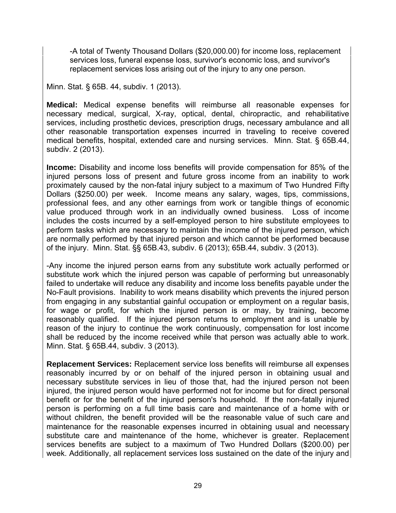-A total of Twenty Thousand Dollars (\$20,000.00) for income loss, replacement services loss, funeral expense loss, survivor's economic loss, and survivor's replacement services loss arising out of the injury to any one person.

Minn. Stat. § 65B. 44, subdiv. 1 (2013).

**Medical:** Medical expense benefits will reimburse all reasonable expenses for necessary medical, surgical, X-ray, optical, dental, chiropractic, and rehabilitative services, including prosthetic devices, prescription drugs, necessary ambulance and all other reasonable transportation expenses incurred in traveling to receive covered medical benefits, hospital, extended care and nursing services. Minn. Stat. § 65B.44, subdiv. 2 (2013).

**Income:** Disability and income loss benefits will provide compensation for 85% of the injured persons loss of present and future gross income from an inability to work proximately caused by the non-fatal injury subject to a maximum of Two Hundred Fifty Dollars (\$250.00) per week. Income means any salary, wages, tips, commissions, professional fees, and any other earnings from work or tangible things of economic value produced through work in an individually owned business. Loss of income includes the costs incurred by a self-employed person to hire substitute employees to perform tasks which are necessary to maintain the income of the injured person, which are normally performed by that injured person and which cannot be performed because of the injury. Minn. Stat. §§ 65B.43, subdiv. 6 (2013); 65B.44, subdiv. 3 (2013).

-Any income the injured person earns from any substitute work actually performed or substitute work which the injured person was capable of performing but unreasonably failed to undertake will reduce any disability and income loss benefits payable under the No-Fault provisions. Inability to work means disability which prevents the injured person from engaging in any substantial gainful occupation or employment on a regular basis, for wage or profit, for which the injured person is or may, by training, become reasonably qualified. If the injured person returns to employment and is unable by reason of the injury to continue the work continuously, compensation for lost income shall be reduced by the income received while that person was actually able to work. Minn. Stat. § 65B.44, subdiv. 3 (2013).

**Replacement Services:** Replacement service loss benefits will reimburse all expenses reasonably incurred by or on behalf of the injured person in obtaining usual and necessary substitute services in lieu of those that, had the injured person not been injured, the injured person would have performed not for income but for direct personal benefit or for the benefit of the injured person's household. If the non-fatally injured person is performing on a full time basis care and maintenance of a home with or without children, the benefit provided will be the reasonable value of such care and maintenance for the reasonable expenses incurred in obtaining usual and necessary substitute care and maintenance of the home, whichever is greater. Replacement services benefits are subject to a maximum of Two Hundred Dollars (\$200.00) per week. Additionally, all replacement services loss sustained on the date of the injury and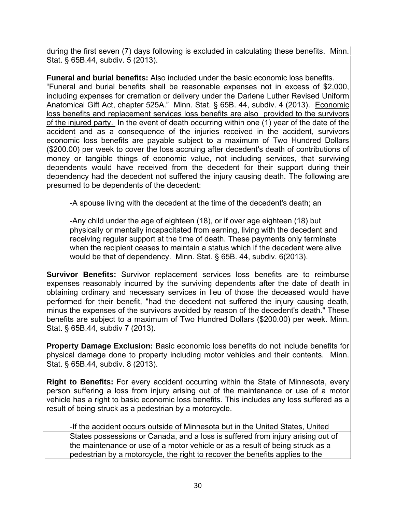during the first seven (7) days following is excluded in calculating these benefits. Minn. Stat. § 65B.44, subdiv. 5 (2013).

**Funeral and burial benefits:** Also included under the basic economic loss benefits. "Funeral and burial benefits shall be reasonable expenses not in excess of \$2,000, including expenses for cremation or delivery under the Darlene Luther Revised Uniform Anatomical Gift Act, chapter 525A." Minn. Stat. § 65B. 44, subdiv. 4 (2013). Economic loss benefits and replacement services loss benefits are also provided to the survivors of the injured party. In the event of death occurring within one (1) year of the date of the accident and as a consequence of the injuries received in the accident, survivors economic loss benefits are payable subject to a maximum of Two Hundred Dollars (\$200.00) per week to cover the loss accruing after decedent's death of contributions of money or tangible things of economic value, not including services, that surviving dependents would have received from the decedent for their support during their dependency had the decedent not suffered the injury causing death. The following are presumed to be dependents of the decedent:

-A spouse living with the decedent at the time of the decedent's death; an

-Any child under the age of eighteen (18), or if over age eighteen (18) but physically or mentally incapacitated from earning, living with the decedent and receiving regular support at the time of death. These payments only terminate when the recipient ceases to maintain a status which if the decedent were alive would be that of dependency. Minn. Stat. § 65B. 44, subdiv. 6(2013).

**Survivor Benefits:** Survivor replacement services loss benefits are to reimburse expenses reasonably incurred by the surviving dependents after the date of death in obtaining ordinary and necessary services in lieu of those the deceased would have performed for their benefit, "had the decedent not suffered the injury causing death, minus the expenses of the survivors avoided by reason of the decedent's death." These benefits are subject to a maximum of Two Hundred Dollars (\$200.00) per week. Minn. Stat. § 65B.44, subdiv 7 (2013).

**Property Damage Exclusion:** Basic economic loss benefits do not include benefits for physical damage done to property including motor vehicles and their contents. Minn. Stat. § 65B.44, subdiv. 8 (2013).

**Right to Benefits:** For every accident occurring within the State of Minnesota, every person suffering a loss from injury arising out of the maintenance or use of a motor vehicle has a right to basic economic loss benefits. This includes any loss suffered as a result of being struck as a pedestrian by a motorcycle.

-If the accident occurs outside of Minnesota but in the United States, United States possessions or Canada, and a loss is suffered from injury arising out of the maintenance or use of a motor vehicle or as a result of being struck as a pedestrian by a motorcycle, the right to recover the benefits applies to the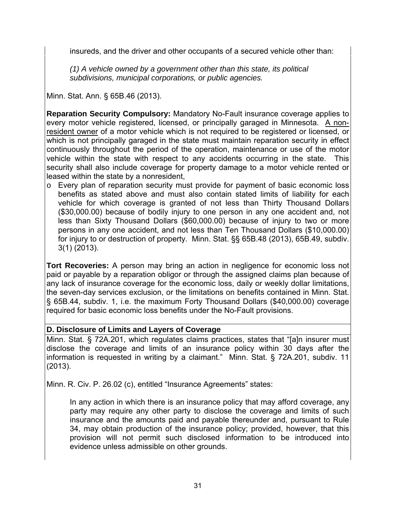insureds, and the driver and other occupants of a secured vehicle other than:

*(1) A vehicle owned by a government other than this state, its political subdivisions, municipal corporations, or public agencies.* 

Minn. Stat. Ann. § 65B.46 (2013).

**Reparation Security Compulsory:** Mandatory No-Fault insurance coverage applies to every motor vehicle registered, licensed, or principally garaged in Minnesota. A nonresident owner of a motor vehicle which is not required to be registered or licensed, or which is not principally garaged in the state must maintain reparation security in effect continuously throughout the period of the operation, maintenance or use of the motor vehicle within the state with respect to any accidents occurring in the state. This security shall also include coverage for property damage to a motor vehicle rented or leased within the state by a nonresident,

o Every plan of reparation security must provide for payment of basic economic loss benefits as stated above and must also contain stated limits of liability for each vehicle for which coverage is granted of not less than Thirty Thousand Dollars (\$30,000.00) because of bodily injury to one person in any one accident and, not less than Sixty Thousand Dollars (\$60,000.00) because of injury to two or more persons in any one accident, and not less than Ten Thousand Dollars (\$10,000.00) for injury to or destruction of property. Minn. Stat. §§ 65B.48 (2013), 65B.49, subdiv. 3(1) (2013).

**Tort Recoveries:** A person may bring an action in negligence for economic loss not paid or payable by a reparation obligor or through the assigned claims plan because of any lack of insurance coverage for the economic loss, daily or weekly dollar limitations, the seven-day services exclusion, or the limitations on benefits contained in Minn. Stat. § 65B.44, subdiv. 1, i.e. the maximum Forty Thousand Dollars (\$40,000.00) coverage required for basic economic loss benefits under the No-Fault provisions.

## **D. Disclosure of Limits and Layers of Coverage**

Minn. Stat. § 72A.201, which regulates claims practices, states that "[a]n insurer must disclose the coverage and limits of an insurance policy within 30 days after the information is requested in writing by a claimant." Minn. Stat. § 72A.201, subdiv. 11 (2013).

Minn. R. Civ. P. 26.02 (c), entitled "Insurance Agreements" states:

 In any action in which there is an insurance policy that may afford coverage, any party may require any other party to disclose the coverage and limits of such insurance and the amounts paid and payable thereunder and, pursuant to Rule 34, may obtain production of the insurance policy; provided, however, that this provision will not permit such disclosed information to be introduced into evidence unless admissible on other grounds.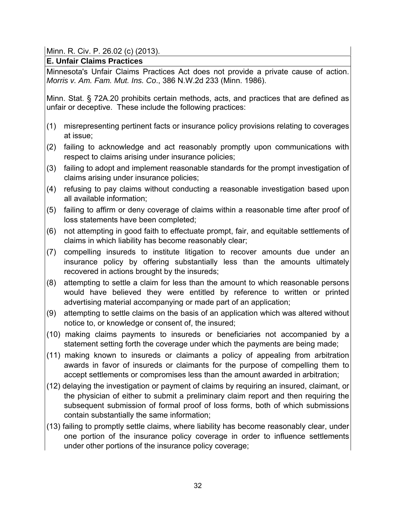Minn. R. Civ. P. 26.02 (c) (2013).

**E. Unfair Claims Practices** 

Minnesota's Unfair Claims Practices Act does not provide a private cause of action. *Morris v. Am. Fam. Mut. Ins. Co*., 386 N.W.2d 233 (Minn. 1986).

Minn. Stat. § 72A.20 prohibits certain methods, acts, and practices that are defined as unfair or deceptive. These include the following practices:

- (1) misrepresenting pertinent facts or insurance policy provisions relating to coverages at issue;
- (2) failing to acknowledge and act reasonably promptly upon communications with respect to claims arising under insurance policies;
- (3) failing to adopt and implement reasonable standards for the prompt investigation of claims arising under insurance policies;
- (4) refusing to pay claims without conducting a reasonable investigation based upon all available information;
- (5) failing to affirm or deny coverage of claims within a reasonable time after proof of loss statements have been completed;
- (6) not attempting in good faith to effectuate prompt, fair, and equitable settlements of claims in which liability has become reasonably clear;
- (7) compelling insureds to institute litigation to recover amounts due under an insurance policy by offering substantially less than the amounts ultimately recovered in actions brought by the insureds;
- (8) attempting to settle a claim for less than the amount to which reasonable persons would have believed they were entitled by reference to written or printed advertising material accompanying or made part of an application;
- (9) attempting to settle claims on the basis of an application which was altered without notice to, or knowledge or consent of, the insured;
- (10) making claims payments to insureds or beneficiaries not accompanied by a statement setting forth the coverage under which the payments are being made;
- (11) making known to insureds or claimants a policy of appealing from arbitration awards in favor of insureds or claimants for the purpose of compelling them to accept settlements or compromises less than the amount awarded in arbitration;
- (12) delaying the investigation or payment of claims by requiring an insured, claimant, or the physician of either to submit a preliminary claim report and then requiring the subsequent submission of formal proof of loss forms, both of which submissions contain substantially the same information;
- (13) failing to promptly settle claims, where liability has become reasonably clear, under one portion of the insurance policy coverage in order to influence settlements under other portions of the insurance policy coverage;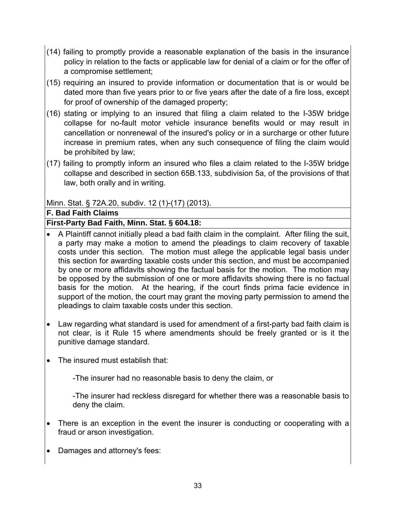- (14) failing to promptly provide a reasonable explanation of the basis in the insurance policy in relation to the facts or applicable law for denial of a claim or for the offer of a compromise settlement;
- (15) requiring an insured to provide information or documentation that is or would be dated more than five years prior to or five years after the date of a fire loss, except for proof of ownership of the damaged property;
- (16) stating or implying to an insured that filing a claim related to the I-35W bridge collapse for no-fault motor vehicle insurance benefits would or may result in cancellation or nonrenewal of the insured's policy or in a surcharge or other future increase in premium rates, when any such consequence of filing the claim would be prohibited by law;
- (17) failing to promptly inform an insured who files a claim related to the I-35W bridge collapse and described in section 65B.133, subdivision 5a, of the provisions of that law, both orally and in writing.

Minn. Stat. § 72A.20, subdiv. 12 (1)-(17) (2013).

**F. Bad Faith Claims**

# **First-Party Bad Faith, Minn. Stat. § 604.18:**

- A Plaintiff cannot initially plead a bad faith claim in the complaint. After filing the suit, a party may make a motion to amend the pleadings to claim recovery of taxable costs under this section. The motion must allege the applicable legal basis under this section for awarding taxable costs under this section, and must be accompanied by one or more affidavits showing the factual basis for the motion. The motion may be opposed by the submission of one or more affidavits showing there is no factual basis for the motion. At the hearing, if the court finds prima facie evidence in support of the motion, the court may grant the moving party permission to amend the pleadings to claim taxable costs under this section.
- Law regarding what standard is used for amendment of a first-party bad faith claim is not clear, is it Rule 15 where amendments should be freely granted or is it the punitive damage standard.
- The insured must establish that:

-The insurer had no reasonable basis to deny the claim, or

-The insurer had reckless disregard for whether there was a reasonable basis to deny the claim.

- There is an exception in the event the insurer is conducting or cooperating with a fraud or arson investigation.
- Damages and attorney's fees: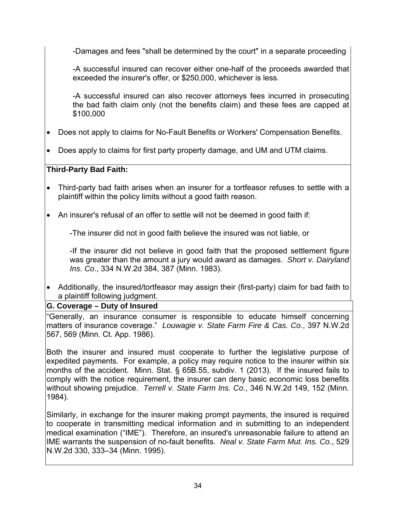-Damages and fees "shall be determined by the court" in a separate proceeding

 -A successful insured can recover either one-half of the proceeds awarded that exceeded the insurer's offer, or \$250,000, whichever is less.

 -A successful insured can also recover attorneys fees incurred in prosecuting the bad faith claim only (not the benefits claim) and these fees are capped at \$100,000

- Does not apply to claims for No-Fault Benefits or Workers' Compensation Benefits.
- Does apply to claims for first party property damage, and UM and UTM claims.

## **Third-Party Bad Faith:**

 Third-party bad faith arises when an insurer for a tortfeasor refuses to settle with a plaintiff within the policy limits without a good faith reason.

• An insurer's refusal of an offer to settle will not be deemed in good faith if:

-The insurer did not in good faith believe the insured was not liable, or

 -If the insurer did not believe in good faith that the proposed settlement figure was greater than the amount a jury would award as damages. *Short v. Dairyland Ins. Co*., 334 N.W.2d 384, 387 (Minn. 1983).

 Additionally, the insured/tortfeasor may assign their (first-party) claim for bad faith to a plaintiff following judgment.

## **G. Coverage – Duty of Insured**

"Generally, an insurance consumer is responsible to educate himself concerning matters of insurance coverage." *Louwagie v. State Farm Fire & Cas. Co.*, 397 N.W.2d 567, 569 (Minn. Ct. App. 1986).

Both the insurer and insured must cooperate to further the legislative purpose of expedited payments. For example, a policy may require notice to the insurer within six months of the accident. Minn. Stat. § 65B.55, subdiv. 1 (2013). If the insured fails to comply with the notice requirement, the insurer can deny basic economic loss benefits without showing prejudice. *Terrell v. State Farm Ins. Co*., 346 N.W.2d 149, 152 (Minn. 1984).

Similarly, in exchange for the insurer making prompt payments, the insured is required to cooperate in transmitting medical information and in submitting to an independent medical examination ("IME"). Therefore, an insured's unreasonable failure to attend an IME warrants the suspension of no-fault benefits. *Neal v. State Farm Mut. Ins. Co*., 529 N.W.2d 330, 333–34 (Minn. 1995).